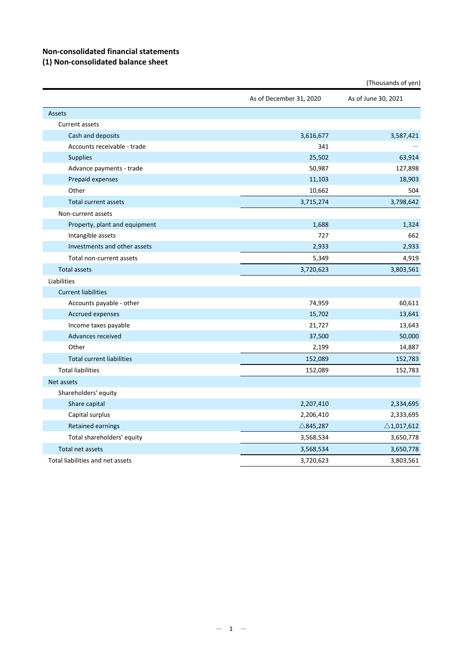## **Non‐consolidated financial statements**

## **(1) Non‐consolidated balance sheet**

|                                  | As of December 31, 2020 | As of June 30, 2021   |
|----------------------------------|-------------------------|-----------------------|
| Assets                           |                         |                       |
| Current assets                   |                         |                       |
| Cash and deposits                | 3,616,677               | 3,587,421             |
| Accounts receivable - trade      | 341                     |                       |
| <b>Supplies</b>                  | 25,502                  | 63,914                |
| Advance payments - trade         | 50,987                  | 127,898               |
| Prepaid expenses                 | 11,103                  | 18,903                |
| Other                            | 10,662                  | 504                   |
| <b>Total current assets</b>      | 3,715,274               | 3,798,642             |
| Non-current assets               |                         |                       |
| Property, plant and equipment    | 1,688                   | 1,324                 |
| Intangible assets                | 727                     | 662                   |
| Investments and other assets     | 2,933                   | 2,933                 |
| Total non-current assets         | 5,349                   | 4,919                 |
| <b>Total assets</b>              | 3,720,623               | 3,803,561             |
| Liabilities                      |                         |                       |
| <b>Current liabilities</b>       |                         |                       |
| Accounts payable - other         | 74,959                  | 60,611                |
| Accrued expenses                 | 15,702                  | 13,641                |
| Income taxes payable             | 21,727                  | 13,643                |
| Advances received                | 37,500                  | 50,000                |
| Other                            | 2,199                   | 14,887                |
| <b>Total current liabilities</b> | 152,089                 | 152,783               |
| <b>Total liabilities</b>         | 152,089                 | 152,783               |
| Net assets                       |                         |                       |
| Shareholders' equity             |                         |                       |
| Share capital                    | 2,207,410               | 2,334,695             |
| Capital surplus                  | 2,206,410               | 2,333,695             |
| <b>Retained earnings</b>         | $\triangle$ 845,287     | $\triangle$ 1,017,612 |
| Total shareholders' equity       | 3,568,534               | 3,650,778             |
| Total net assets                 | 3,568,534               | 3,650,778             |
| Total liabilities and net assets | 3,720,623               | 3,803,561             |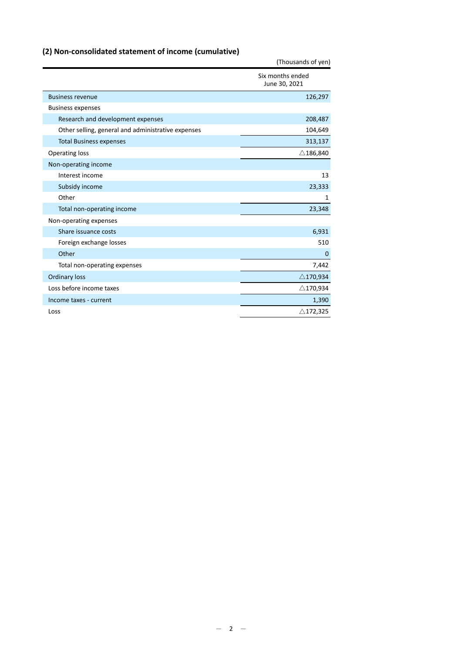## **(2) Non‐consolidated statement of income (cumulative)**

|                                                    | (Thousands of yen)                |
|----------------------------------------------------|-----------------------------------|
|                                                    | Six months ended<br>June 30, 2021 |
| <b>Business revenue</b>                            | 126,297                           |
| <b>Business expenses</b>                           |                                   |
| Research and development expenses                  | 208,487                           |
| Other selling, general and administrative expenses | 104,649                           |
| <b>Total Business expenses</b>                     | 313,137                           |
| <b>Operating loss</b>                              | $\triangle$ 186,840               |
| Non-operating income                               |                                   |
| Interest income                                    | 13                                |
| Subsidy income                                     | 23,333                            |
| Other                                              | 1                                 |
| Total non-operating income                         | 23,348                            |
| Non-operating expenses                             |                                   |
| Share issuance costs                               | 6,931                             |
| Foreign exchange losses                            | 510                               |
| Other                                              | $\Omega$                          |
| Total non-operating expenses                       | 7,442                             |
| <b>Ordinary loss</b>                               | $\triangle$ 170,934               |
| Loss before income taxes                           | $\triangle$ 170,934               |
| Income taxes - current                             | 1,390                             |
| Loss                                               | $\triangle$ 172,325               |